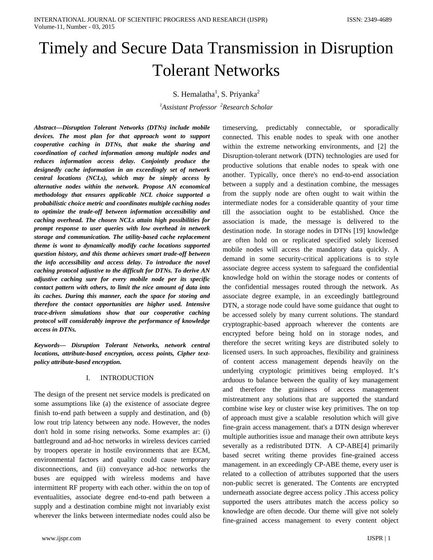# Timely and Secure Data Transmission in Disruption Tolerant Networks

S. Hemalatha<sup>1</sup>, S. Priyanka<sup>2</sup>

*1 Assistant Professor <sup>2</sup> Research Scholar*

*Abstract—Disruption Tolerant Networks (DTNs) include mobile devices. The most plan for that approach wont to support cooperative caching in DTNs, that make the sharing and coordination of cached information among multiple nodes and reduces information access delay. Conjointly produce the designedly cache information in an exceedingly set of network central locations (NCLs), which may be simply access by alternative nodes within the network. Propose AN economical methodology that ensures applicable NCL choice supported a probabilistic choice metric and coordinates multiple caching nodes to optimize the trade-off between information accessibility and caching overhead. The chosen NCLs attain high possibilities for prompt response to user queries with low overhead in network storage and communication. The utility-based cache replacement theme is wont to dynamically modify cache locations supported question history, and this theme achieves smart trade-off between the info accessibility and access delay. To introduce the novel caching protocol adjustive to the difficult for DTNs. To derive AN adjustive caching sure for every mobile node per its specific contact pattern with others, to limit the nice amount of data into its caches. During this manner, each the space for storing and therefore the contact opportunities are higher used. Intensive trace-driven simulations show that our cooperative caching protocol will considerably improve the performance of knowledge access in DTNs.*

*Keywords— Disruption Tolerant Networks, network central locations, attribute-based encryption, access points, Cipher textpolicy attribute-based encryption.*

# I. INTRODUCTION

The design of the present net service models is predicated on some assumptions like (a) the existence of associate degree finish to-end path between a supply and destination, and (b) low rout trip latency between any node. However, the nodes don't hold in some rising networks. Some examples ar: (i) battleground and ad-hoc networks in wireless devices carried by troopers operate in hostile environments that are ECM, environmental factors and quality could cause temporary disconnections, and (ii) conveyance ad-hoc networks the buses are equipped with wireless modems and have intermittent RF property with each other. within the on top of eventualities, associate degree end-to-end path between a supply and a destination combine might not invariably exist wherever the links between intermediate nodes could also be

timeserving, predictably connectable, or sporadically connected. This enable nodes to speak with one another within the extreme networking environments, and [2] the Disruption-tolerant network (DTN) technologies are used for productive solutions that enable nodes to speak with one another. Typically, once there's no end-to-end association between a supply and a destination combine, the messages from the supply node are often ought to wait within the intermediate nodes for a considerable quantity of your time till the association ought to be established. Once the association is made, the message is delivered to the destination node. In storage nodes in DTNs [19] knowledge are often hold on or replicated specified solely licensed mobile nodes will access the mandatory data quickly. A demand in some security-critical applications is to style associate degree access system to safeguard the confidential knowledge hold on within the storage nodes or contents of the confidential messages routed through the network. As associate degree example, in an exceedingly battleground DTN, a storage node could have some guidance that ought to be accessed solely by many current solutions. The standard cryptographic-based approach wherever the contents are encrypted before being hold on in storage nodes, and therefore the secret writing keys are distributed solely to licensed users. In such approaches, flexibility and graininess of content access management depends heavily on the underlying cryptologic primitives being employed. It's arduous to balance between the quality of key management and therefore the graininess of access management mistreatment any solutions that are supported the standard combine wise key or cluster wise key primitives. The on top of approach must give a scalable resolution which will give fine-grain access management. that's a DTN design wherever multiple authorities issue and manage their own attribute keys severally as a redistributed DTN. A CP-ABE[4] primarily based secret writing theme provides fine-grained access management. in an exceedingly CP-ABE theme, every user is related to a collection of attributes supported that the users non-public secret is generated. The Contents are encrypted underneath associate degree access policy .This access policy supported the users attributes match the access policy so knowledge are often decode. Our theme will give not solely fine-grained access management to every content object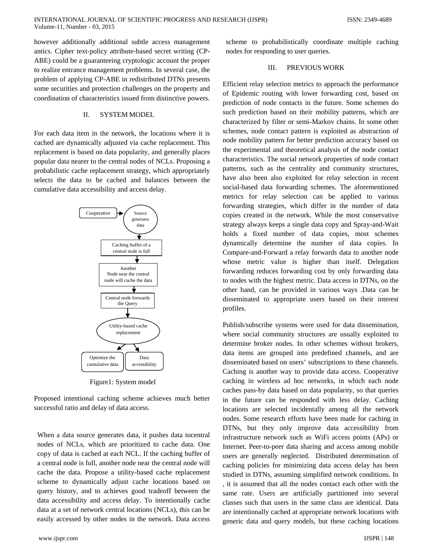however additionally additional subtle access management antics. Cipher text-policy attribute-based secret writing (CP-ABE) could be a guaranteeing cryptologic account the proper to realize entrance management problems. In several case, the problem of applying CP-ABE in redistributed DTNs presents some securities and protection challenges on the property and coordination of characteristics issued from distinctive powers.

#### II. SYSTEM MODEL

For each data item in the network, the locations where it is cached are dynamically adjusted via cache replacement. This replacement is based on data popularity, and generally places popular data nearer to the central nodes of NCLs. Proposing a probabilistic cache replacement strategy, which appropriately selects the data to be cached and balances between the cumulative data accessibility and access delay.



Figure1: System model

Proposed intentional caching scheme achieves much better successful ratio and delay of data access.

When a data source generates data, it pushes data tocentral nodes of NCLs, which are prioritized to cache data. One copy of data is cached at each NCL. If the caching buffer of a central node is full, another node near the central node will cache the data. Propose a utility-based cache replacement scheme to dynamically adjust cache locations based on query history, and to achieves good tradeoff between the data accessibility and access delay. To intentionally cache data at a set of network central locations (NCLs), this can be easily accessed by other nodes in the network. Data access

scheme to probabilistically coordinate multiple caching nodes for responding to user queries.

# III. PREVIOUS WORK

Efficient relay selection metrics to approach the performance of Epidemic routing with lower forwarding cost, based on prediction of node contacts in the future. Some schemes do such prediction based on their mobility patterns, which are characterized by filter or semi-Markov chains. In some other schemes, node contact pattern is exploited as abstraction of node mobility pattern for better prediction accuracy based on the experimental and theoretical analysis of the node contact characteristics. The social network properties of node contact patterns, such as the centrality and community structures, have also been also exploited for relay selection in recent social-based data forwarding schemes. The aforementioned metrics for relay selection can be applied to various forwarding strategies, which differ in the number of data copies created in the network. While the most conservative strategy always keeps a single data copy and Spray-and-Wait holds a fixed number of data copies, most schemes dynamically determine the number of data copies. In Compare-and-Forward a relay forwards data to another node whose metric value is higher than itself. Delegation forwarding reduces forwarding cost by only forwarding data to nodes with the highest metric. Data access in DTNs, on the other hand, can be provided in various ways .Data can be disseminated to appropriate users based on their interest profiles.

Publish/subscribe systems were used for data dissemination, where social community structures are usually exploited to determine broker nodes. In other schemes without brokers, data items are grouped into predefined channels, and are disseminated based on users' subscriptions to these channels. Caching is another way to provide data access. Cooperative caching in wireless ad hoc networks, in which each node caches pass-by data based on data popularity, so that queries in the future can be responded with less delay. Caching locations are selected incidentally among all the network nodes. Some research efforts have been made for caching in DTNs, but they only improve data accessibility from infrastructure network such as WiFi access points (APs) or Internet. Peer-to-peer data sharing and access among mobile users are generally neglected. Distributed determination of caching policies for minimizing data access delay has been studied in DTNs, assuming simplified network conditions. In , it is assumed that all the nodes contact each other with the same rate. Users are artificially partitioned into several classes such that users in the same class are identical. Data are intentionally cached at appropriate network locations with generic data and query models, but these caching locations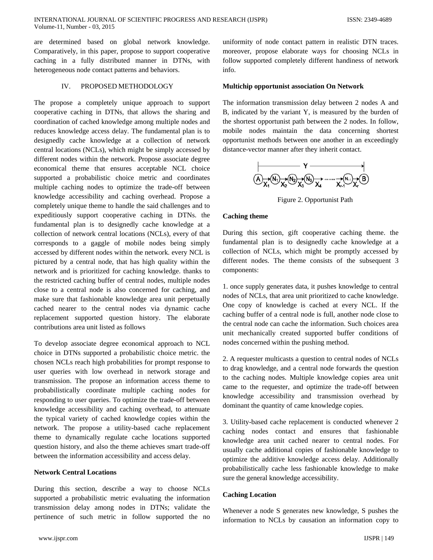are determined based on global network knowledge. Comparatively, in this paper, propose to support cooperative caching in a fully distributed manner in DTNs, with heterogeneous node contact patterns and behaviors.

# IV. PROPOSED METHODOLOGY

The propose a completely unique approach to support cooperative caching in DTNs, that allows the sharing and coordination of cached knowledge among multiple nodes and reduces knowledge access delay. The fundamental plan is to designedly cache knowledge at a collection of network central locations (NCLs), which might be simply accessed by different nodes within the network. Propose associate degree economical theme that ensures acceptable NCL choice supported a probabilistic choice metric and coordinates multiple caching nodes to optimize the trade-off between knowledge accessibility and caching overhead. Propose a completely unique theme to handle the said challenges and to expeditiously support cooperative caching in DTNs. the fundamental plan is to designedly cache knowledge at a collection of network central locations (NCLs), every of that corresponds to a gaggle of mobile nodes being simply accessed by different nodes within the network. every NCL is pictured by a central node, that has high quality within the network and is prioritized for caching knowledge. thanks to the restricted caching buffer of central nodes, multiple nodes close to a central node is also concerned for caching, and make sure that fashionable knowledge area unit perpetually cached nearer to the central nodes via dynamic cache replacement supported question history. The elaborate contributions area unit listed as follows

To develop associate degree economical approach to NCL choice in DTNs supported a probabilistic choice metric. the chosen NCLs reach high probabilities for prompt response to user queries with low overhead in network storage and transmission. The propose an information access theme to probabilistically coordinate multiple caching nodes for responding to user queries. To optimize the trade-off between knowledge accessibility and caching overhead, to attenuate the typical variety of cached knowledge copies within the network. The propose a utility-based cache replacement theme to dynamically regulate cache locations supported question history, and also the theme achieves smart trade-off between the information accessibility and access delay.

#### **Network Central Locations**

During this section, describe a way to choose NCLs supported a probabilistic metric evaluating the information transmission delay among nodes in DTNs; validate the pertinence of such metric in follow supported the no

uniformity of node contact pattern in realistic DTN traces. moreover, propose elaborate ways for choosing NCLs in follow supported completely different handiness of network info.

#### **Multichip opportunist association On Network**

The information transmission delay between 2 nodes A and B, indicated by the variant Y, is measured by the burden of the shortest opportunist path between the 2 nodes. In follow, mobile nodes maintain the data concerning shortest opportunist methods between one another in an exceedingly distance-vector manner after they inherit contact.



Figure 2. Opportunist Path

### **Caching theme**

During this section, gift cooperative caching theme. the fundamental plan is to designedly cache knowledge at a collection of NCLs, which might be promptly accessed by different nodes. The theme consists of the subsequent 3 components:

1. once supply generates data, it pushes knowledge to central nodes of NCLs, that area unit prioritized to cache knowledge. One copy of knowledge is cached at every NCL. If the caching buffer of a central node is full, another node close to the central node can cache the information. Such choices area unit mechanically created supported buffer conditions of nodes concerned within the pushing method.

2. A requester multicasts a question to central nodes of NCLs to drag knowledge, and a central node forwards the question to the caching nodes. Multiple knowledge copies area unit came to the requester, and optimize the trade-off between knowledge accessibility and transmission overhead by dominant the quantity of came knowledge copies.

3. Utility-based cache replacement is conducted whenever 2 caching nodes contact and ensures that fashionable knowledge area unit cached nearer to central nodes. For usually cache additional copies of fashionable knowledge to optimize the additive knowledge access delay. Additionally probabilistically cache less fashionable knowledge to make sure the general knowledge accessibility.

## **Caching Location**

Whenever a node S generates new knowledge, S pushes the information to NCLs by causation an information copy to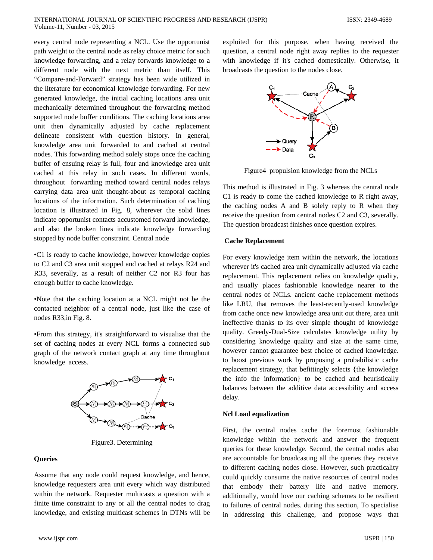every central node representing a NCL. Use the opportunist path weight to the central node as relay choice metric for such knowledge forwarding, and a relay forwards knowledge to a different node with the next metric than itself. This "Compare-and-Forward" strategy has been wide utilized in the literature for economical knowledge forwarding. For new generated knowledge, the initial caching locations area unit mechanically determined throughout the forwarding method supported node buffer conditions. The caching locations area unit then dynamically adjusted by cache replacement delineate consistent with question history. In general, knowledge area unit forwarded to and cached at central nodes. This forwarding method solely stops once the caching buffer of ensuing relay is full, four and knowledge area unit cached at this relay in such cases. In different words, throughout forwarding method toward central nodes relays carrying data area unit thought-about as temporal caching locations of the information. Such determination of caching location is illustrated in Fig. 8, wherever the solid lines indicate opportunist contacts accustomed forward knowledge, and also the broken lines indicate knowledge forwarding stopped by node buffer constraint. Central node

•C1 is ready to cache knowledge, however knowledge copies to C2 and C3 area unit stopped and cached at relays R24 and R33, severally, as a result of neither C2 nor R3 four has enough buffer to cache knowledge.

•Note that the caching location at a NCL might not be the contacted neighbor of a central node, just like the case of nodes R33,in Fig. 8.

•From this strategy, it's straightforward to visualize that the set of caching nodes at every NCL forms a connected sub graph of the network contact graph at any time throughout knowledge access.



Figure3. Determining

# **Queries**

Assume that any node could request knowledge, and hence, knowledge requesters area unit every which way distributed within the network. Requester multicasts a question with a finite time constraint to any or all the central nodes to drag knowledge, and existing multicast schemes in DTNs will be

www.ijspr.com IJSPR | 150

exploited for this purpose. when having received the question, a central node right away replies to the requester with knowledge if it's cached domestically. Otherwise, it broadcasts the question to the nodes close.



Figure4 propulsion knowledge from the NCLs

This method is illustrated in Fig. 3 whereas the central node C1 is ready to come the cached knowledge to R right away, the caching nodes A and B solely reply to R when they receive the question from central nodes C2 and C3, severally. The question broadcast finishes once question expires.

# **Cache Replacement**

For every knowledge item within the network, the locations wherever it's cached area unit dynamically adjusted via cache replacement. This replacement relies on knowledge quality, and usually places fashionable knowledge nearer to the central nodes of NCLs. ancient cache replacement methods like LRU, that removes the least-recently-used knowledge from cache once new knowledge area unit out there, area unit ineffective thanks to its over simple thought of knowledge quality. Greedy-Dual-Size calculates knowledge utility by considering knowledge quality and size at the same time, however cannot guarantee best choice of cached knowledge. to boost previous work by proposing a probabilistic cache replacement strategy, that befittingly selects {the knowledge the info the information} to be cached and heuristically balances between the additive data accessibility and access delay.

#### **Ncl Load equalization**

First, the central nodes cache the foremost fashionable knowledge within the network and answer the frequent queries for these knowledge. Second, the central nodes also are accountable for broadcasting all the queries they receive to different caching nodes close. However, such practicality could quickly consume the native resources of central nodes that embody their battery life and native memory. additionally, would love our caching schemes to be resilient to failures of central nodes. during this section, To specialise in addressing this challenge, and propose ways that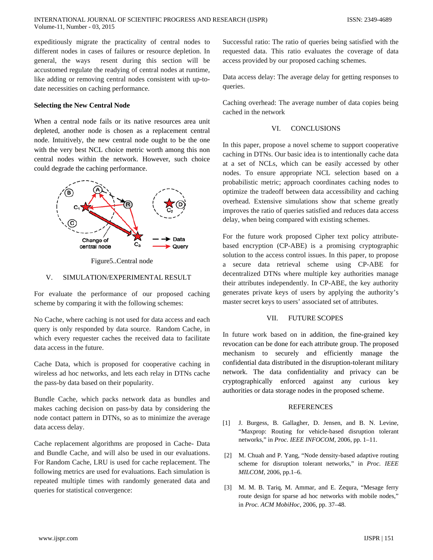expeditiously migrate the practicality of central nodes to different nodes in cases of failures or resource depletion. In general, the ways resent during this section will be accustomed regulate the readying of central nodes at runtime, like adding or removing central nodes consistent with up-todate necessities on caching performance.

# **Selecting the New Central Node**

When a central node fails or its native resources area unit depleted, another node is chosen as a replacement central node. Intuitively, the new central node ought to be the one with the very best NCL choice metric worth among this non central nodes within the network. However, such choice could degrade the caching performance.





#### V. SIMULATION/EXPERIMENTAL RESULT

For evaluate the performance of our proposed caching scheme by comparing it with the following schemes:

No Cache, where caching is not used for data access and each query is only responded by data source. Random Cache, in which every requester caches the received data to facilitate data access in the future.

Cache Data, which is proposed for cooperative caching in wireless ad hoc networks, and lets each relay in DTNs cache the pass-by data based on their popularity.

Bundle Cache, which packs network data as bundles and makes caching decision on pass-by data by considering the node contact pattern in DTNs, so as to minimize the average data access delay.

Cache replacement algorithms are proposed in Cache- Data and Bundle Cache, and will also be used in our evaluations. For Random Cache, LRU is used for cache replacement. The following metrics are used for evaluations. Each simulation is repeated multiple times with randomly generated data and queries for statistical convergence:

Successful ratio: The ratio of queries being satisfied with the requested data. This ratio evaluates the coverage of data access provided by our proposed caching schemes.

Data access delay: The average delay for getting responses to queries.

Caching overhead: The average number of data copies being cached in the network

## VI. CONCLUSIONS

In this paper, propose a novel scheme to support cooperative caching in DTNs. Our basic idea is to intentionally cache data at a set of NCLs, which can be easily accessed by other nodes. To ensure appropriate NCL selection based on a probabilistic metric; approach coordinates caching nodes to optimize the tradeoff between data accessibility and caching overhead. Extensive simulations show that scheme greatly improves the ratio of queries satisfied and reduces data access delay, when being compared with existing schemes.

For the future work proposed Cipher text policy attributebased encryption (CP-ABE) is a promising cryptographic solution to the access control issues. In this paper, to propose a secure data retrieval scheme using CP-ABE for decentralized DTNs where multiple key authorities manage their attributes independently. In CP-ABE, the key authority generates private keys of users by applying the authority's master secret keys to users' associated set of attributes.

### VII. FUTURE SCOPES

In future work based on in addition, the fine-grained key revocation can be done for each attribute group. The proposed mechanism to securely and efficiently manage the confidential data distributed in the disruption-tolerant military network. The data confidentiality and privacy can be cryptographically enforced against any curious key authorities or data storage nodes in the proposed scheme.

## **REFERENCES**

- [1] J. Burgess, B. Gallagher, D. Jensen, and B. N. Levine, "Maxprop: Routing for vehicle-based disruption tolerant networks," in *Proc. IEEE INFOCOM*, 2006, pp. 1–11.
- [2] M. Chuah and P. Yang, "Node density-based adaptive routing scheme for disruption tolerant networks," in *Proc. IEEE MILCOM*, 2006, pp.1–6.
- [3] M. M. B. Tariq, M. Ammar, and E. Zequra, "Mesage ferry route design for sparse ad hoc networks with mobile nodes," in *Proc. ACM MobiHoc*, 2006, pp. 37–48.